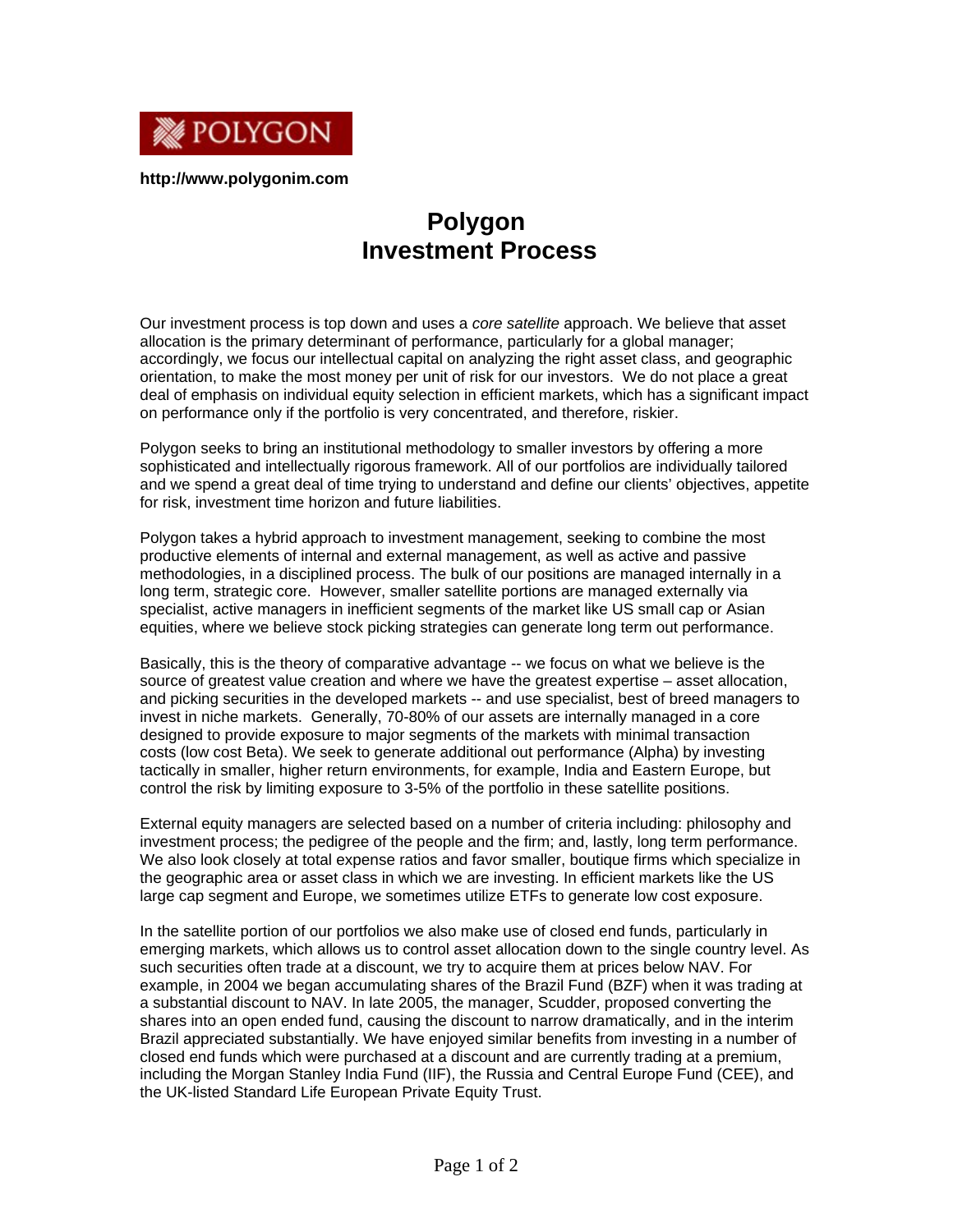

**http://www.polygonim.com** 

## **Polygon Investment Process**

Our investment process is top down and uses a *core satellite* approach. We believe that asset allocation is the primary determinant of performance, particularly for a global manager; accordingly, we focus our intellectual capital on analyzing the right asset class, and geographic orientation, to make the most money per unit of risk for our investors. We do not place a great deal of emphasis on individual equity selection in efficient markets, which has a significant impact on performance only if the portfolio is very concentrated, and therefore, riskier.

Polygon seeks to bring an institutional methodology to smaller investors by offering a more sophisticated and intellectually rigorous framework. All of our portfolios are individually tailored and we spend a great deal of time trying to understand and define our clients' objectives, appetite for risk, investment time horizon and future liabilities.

Polygon takes a hybrid approach to investment management, seeking to combine the most productive elements of internal and external management, as well as active and passive methodologies, in a disciplined process. The bulk of our positions are managed internally in a long term, strategic core. However, smaller satellite portions are managed externally via specialist, active managers in inefficient segments of the market like US small cap or Asian equities, where we believe stock picking strategies can generate long term out performance.

Basically, this is the theory of comparative advantage -- we focus on what we believe is the source of greatest value creation and where we have the greatest expertise – asset allocation, and picking securities in the developed markets -- and use specialist, best of breed managers to invest in niche markets. Generally, 70-80% of our assets are internally managed in a core designed to provide exposure to major segments of the markets with minimal transaction costs (low cost Beta). We seek to generate additional out performance (Alpha) by investing tactically in smaller, higher return environments, for example, India and Eastern Europe, but control the risk by limiting exposure to 3-5% of the portfolio in these satellite positions.

External equity managers are selected based on a number of criteria including: philosophy and investment process; the pedigree of the people and the firm; and, lastly, long term performance. We also look closely at total expense ratios and favor smaller, boutique firms which specialize in the geographic area or asset class in which we are investing. In efficient markets like the US large cap segment and Europe, we sometimes utilize ETFs to generate low cost exposure.

In the satellite portion of our portfolios we also make use of closed end funds, particularly in emerging markets, which allows us to control asset allocation down to the single country level. As such securities often trade at a discount, we try to acquire them at prices below NAV. For example, in 2004 we began accumulating shares of the Brazil Fund (BZF) when it was trading at a substantial discount to NAV. In late 2005, the manager, Scudder, proposed converting the shares into an open ended fund, causing the discount to narrow dramatically, and in the interim Brazil appreciated substantially. We have enjoyed similar benefits from investing in a number of closed end funds which were purchased at a discount and are currently trading at a premium, including the Morgan Stanley India Fund (IIF), the Russia and Central Europe Fund (CEE), and the UK-listed Standard Life European Private Equity Trust.